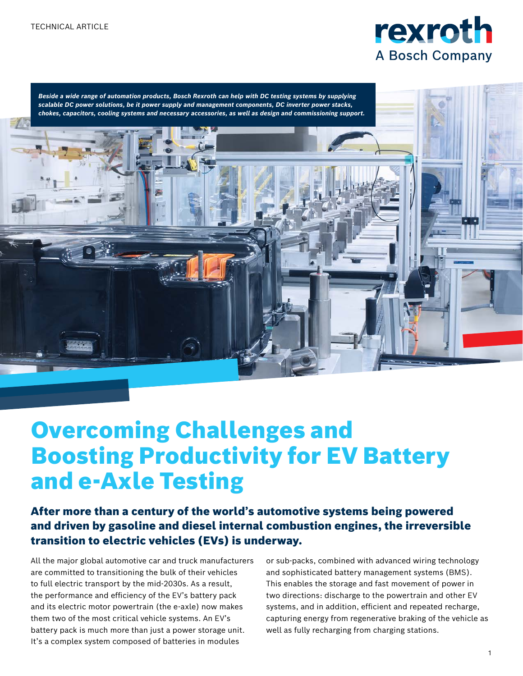



# Overcoming Challenges and Boosting Productivity for EV Battery and e-Axle Testing

After more than a century of the world's automotive systems being powered and driven by gasoline and diesel internal combustion engines, the irreversible transition to electric vehicles (EVs) is underway.

All the major global automotive car and truck manufacturers are committed to transitioning the bulk of their vehicles to full electric transport by the mid-2030s. As a result, the performance and efficiency of the EV's battery pack and its electric motor powertrain (the e-axle) now makes them two of the most critical vehicle systems. An EV's battery pack is much more than just a power storage unit. It's a complex system composed of batteries in modules

or sub-packs, combined with advanced wiring technology and sophisticated battery management systems (BMS). This enables the storage and fast movement of power in two directions: discharge to the powertrain and other EV systems, and in addition, efficient and repeated recharge, capturing energy from regenerative braking of the vehicle as well as fully recharging from charging stations.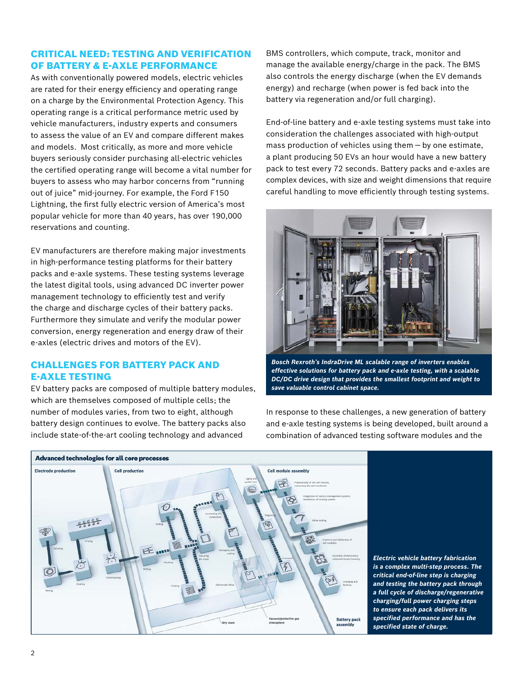### CRITICAL NEED: TESTING AND VERIFICATION OF BATTERY & E-AXLE PERFORMANCE

As with conventionally powered models, electric vehicles are rated for their energy efficiency and operating range on a charge by the Environmental Protection Agency. This operating range is a critical performance metric used by vehicle manufacturers, industry experts and consumers to assess the value of an EV and compare different makes and models. Most critically, as more and more vehicle buyers seriously consider purchasing all-electric vehicles the certified operating range will become a vital number for buyers to assess who may harbor concerns from "running out of juice" mid-journey. For example, the Ford F150 Lightning, the first fully electric version of America's most popular vehicle for more than 40 years, has over 190,000 reservations and counting.

EV manufacturers are therefore making major investments in high-performance testing platforms for their battery packs and e-axle systems. These testing systems leverage the latest digital tools, using advanced DC inverter power management technology to efficiently test and verify the charge and discharge cycles of their battery packs. Furthermore they simulate and verify the modular power conversion, energy regeneration and energy draw of their e-axles (electric drives and motors of the EV).

## CHALLENGES FOR BATTERY PACK AND E-AXLE TESTING

EV battery packs are composed of multiple battery modules, which are themselves composed of multiple cells; the number of modules varies, from two to eight, although battery design continues to evolve. The battery packs also include state-of-the-art cooling technology and advanced

BMS controllers, which compute, track, monitor and manage the available energy/charge in the pack. The BMS also controls the energy discharge (when the EV demands energy) and recharge (when power is fed back into the battery via regeneration and/or full charging).

End-of-line battery and e-axle testing systems must take into consideration the challenges associated with high-output mass production of vehicles using them — by one estimate, a plant producing 50 EVs an hour would have a new battery pack to test every 72 seconds. Battery packs and e-axles are complex devices, with size and weight dimensions that require careful handling to move efficiently through testing systems.



*Bosch Rexroth's IndraDrive ML scalable range of inverters enables effective solutions for battery pack and e-axle testing, with a scalable DC/DC drive design that provides the smallest footprint and weight to save valuable control cabinet space.*



In response to these challenges, a new generation of battery and e-axle testing systems is being developed, built around a combination of advanced testing software modules and the

> *Electric vehicle battery fabrication is a complex multi-step process. The critical end-of-line step is charging and testing the battery pack through a full cycle of discharge/regenerative charging/full power charging steps to ensure each pack delivers its specified performance and has the specified state of charge.*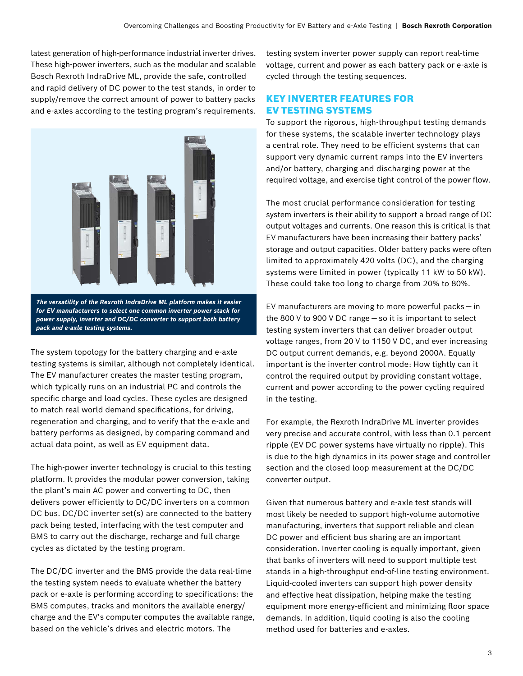latest generation of high-performance industrial inverter drives. These high-power inverters, such as the modular and scalable Bosch Rexroth IndraDrive ML, provide the safe, controlled and rapid delivery of DC power to the test stands, in order to supply/remove the correct amount of power to battery packs and e-axles according to the testing program's requirements.



*for EV manufacturers to select one common inverter power stack for power supply, inverter and DC/DC converter to support both battery pack and e-axle testing systems.*

The system topology for the battery charging and e-axle testing systems is similar, although not completely identical. The EV manufacturer creates the master testing program, which typically runs on an industrial PC and controls the specific charge and load cycles. These cycles are designed to match real world demand specifications, for driving, regeneration and charging, and to verify that the e-axle and battery performs as designed, by comparing command and actual data point, as well as EV equipment data.

The high-power inverter technology is crucial to this testing platform. It provides the modular power conversion, taking the plant's main AC power and converting to DC, then delivers power efficiently to DC/DC inverters on a common DC bus. DC/DC inverter set(s) are connected to the battery pack being tested, interfacing with the test computer and BMS to carry out the discharge, recharge and full charge cycles as dictated by the testing program.

The DC/DC inverter and the BMS provide the data real-time the testing system needs to evaluate whether the battery pack or e-axle is performing according to specifications: the BMS computes, tracks and monitors the available energy/ charge and the EV's computer computes the available range, based on the vehicle's drives and electric motors. The

testing system inverter power supply can report real-time voltage, current and power as each battery pack or e-axle is cycled through the testing sequences.

#### KEY INVERTER FEATURES FOR EV TESTING SYSTEMS

To support the rigorous, high-throughput testing demands for these systems, the scalable inverter technology plays a central role. They need to be efficient systems that can support very dynamic current ramps into the EV inverters and/or battery, charging and discharging power at the required voltage, and exercise tight control of the power flow.

The most crucial performance consideration for testing system inverters is their ability to support a broad range of DC output voltages and currents. One reason this is critical is that EV manufacturers have been increasing their battery packs' storage and output capacities. Older battery packs were often limited to approximately 420 volts (DC), and the charging systems were limited in power (typically 11 kW to 50 kW). These could take too long to charge from 20% to 80%.

EV manufacturers are moving to more powerful packs — in the 800 V to 900 V DC range — so it is important to select testing system inverters that can deliver broader output voltage ranges, from 20 V to 1150 V DC, and ever increasing DC output current demands, e.g. beyond 2000A. Equally important is the inverter control mode: How tightly can it control the required output by providing constant voltage, current and power according to the power cycling required in the testing.

For example, the Rexroth IndraDrive ML inverter provides very precise and accurate control, with less than 0.1 percent ripple (EV DC power systems have virtually no ripple). This is due to the high dynamics in its power stage and controller section and the closed loop measurement at the DC/DC converter output.

Given that numerous battery and e-axle test stands will most likely be needed to support high-volume automotive manufacturing, inverters that support reliable and clean DC power and efficient bus sharing are an important consideration. Inverter cooling is equally important, given that banks of inverters will need to support multiple test stands in a high-throughput end-of-line testing environment. Liquid-cooled inverters can support high power density and effective heat dissipation, helping make the testing equipment more energy-efficient and minimizing floor space demands. In addition, liquid cooling is also the cooling method used for batteries and e-axles.